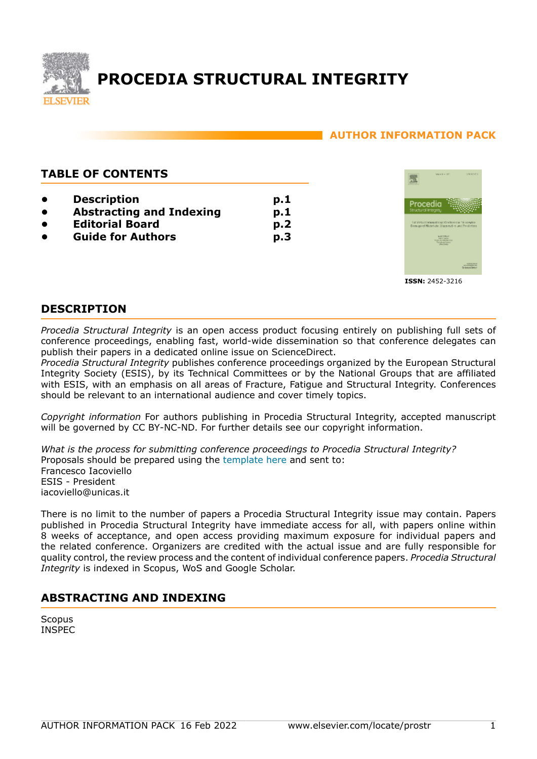

# **PROCEDIA STRUCTURAL INTEGRITY**

# **AUTHOR INFORMATION PACK**

# **TABLE OF CONTENTS**

- **[Description](#page-0-0)**
- **[Abstracting and Indexing](#page-0-1)**
- **[Editorial Board](#page-1-0)**
- **[Guide for Authors](#page-2-0)**



**ISSN:** 2452-3216

# <span id="page-0-0"></span>**DESCRIPTION**

*Procedia Structural Integrity* is an open access product focusing entirely on publishing full sets of conference proceedings, enabling fast, world-wide dissemination so that conference delegates can publish their papers in a dedicated online issue on ScienceDirect.

**p.1 p.1 p.2 p.3**

*Procedia Structural Integrity* publishes conference proceedings organized by the European Structural Integrity Society (ESIS), by its Technical Committees or by the National Groups that are affiliated with ESIS, with an emphasis on all areas of Fracture, Fatigue and Structural Integrity. Conferences should be relevant to an international audience and cover timely topics.

*Copyright information* For authors publishing in Procedia Structural Integrity, accepted manuscript will be governed by CC BY-NC-ND. For further details see our copyright information.

*What is the process for submitting conference proceedings to Procedia Structural Integrity?* Proposals should be prepared using the [template here](https://www.elsevier.com/__data/promis_misc/PROSTRUC-Proposal-Template.doc) and sent to: Francesco Iacoviello ESIS - President iacoviello@unicas.it

There is no limit to the number of papers a Procedia Structural Integrity issue may contain. Papers published in Procedia Structural Integrity have immediate access for all, with papers online within 8 weeks of acceptance, and open access providing maximum exposure for individual papers and the related conference. Organizers are credited with the actual issue and are fully responsible for quality control, the review process and the content of individual conference papers. *Procedia Structural Integrity* is indexed in Scopus, WoS and Google Scholar.

# <span id="page-0-1"></span>**ABSTRACTING AND INDEXING**

**Scopus** INSPEC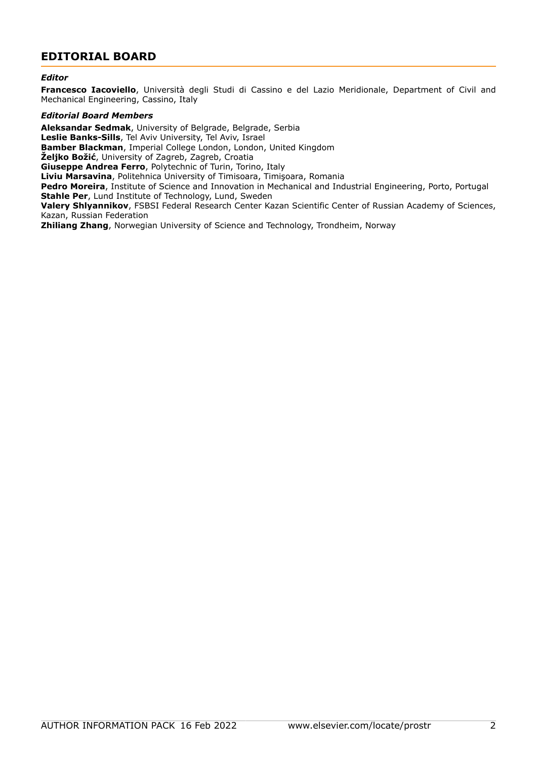# <span id="page-1-0"></span>**EDITORIAL BOARD**

#### *Editor*

**Francesco Iacoviello**, Università degli Studi di Cassino e del Lazio Meridionale, Department of Civil and Mechanical Engineering, Cassino, Italy

#### *Editorial Board Members*

**Aleksandar Sedmak**, University of Belgrade, Belgrade, Serbia **Leslie Banks-Sills**, Tel Aviv University, Tel Aviv, Israel **Bamber Blackman**, Imperial College London, London, United Kingdom **Željko Božić**, University of Zagreb, Zagreb, Croatia **Giuseppe Andrea Ferro**, Polytechnic of Turin, Torino, Italy **Liviu Marsavina**, Politehnica University of Timisoara, Timişoara, Romania **Pedro Moreira**, Institute of Science and Innovation in Mechanical and Industrial Engineering, Porto, Portugal **Stahle Per**, Lund Institute of Technology, Lund, Sweden **Valery Shlyannikov**, FSBSI Federal Research Center Kazan Scientific Center of Russian Academy of Sciences, Kazan, Russian Federation **Zhiliang Zhang**, Norwegian University of Science and Technology, Trondheim, Norway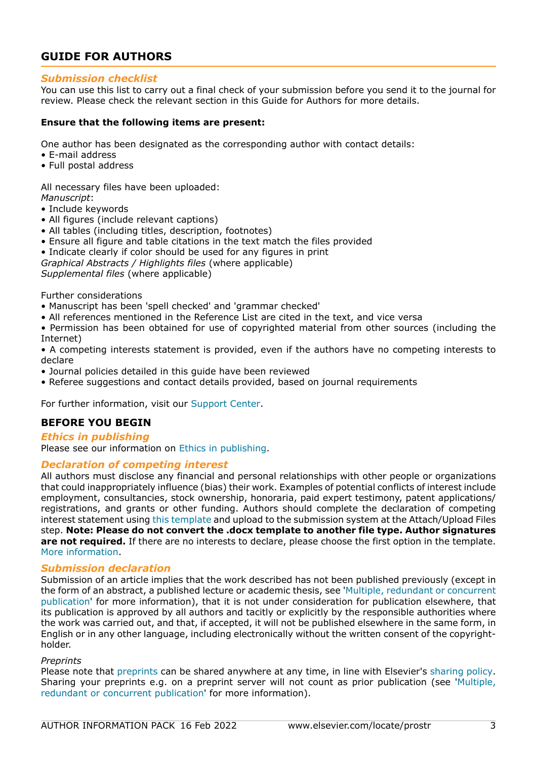# <span id="page-2-0"></span>**GUIDE FOR AUTHORS**

# *Submission checklist*

You can use this list to carry out a final check of your submission before you send it to the journal for review. Please check the relevant section in this Guide for Authors for more details.

#### **Ensure that the following items are present:**

One author has been designated as the corresponding author with contact details:

- E-mail address
- Full postal address

All necessary files have been uploaded:

- *Manuscript*:
- Include keywords
- All figures (include relevant captions)
- All tables (including titles, description, footnotes)
- Ensure all figure and table citations in the text match the files provided
- Indicate clearly if color should be used for any figures in print
- *Graphical Abstracts / Highlights files* (where applicable)

*Supplemental files* (where applicable)

Further considerations

- Manuscript has been 'spell checked' and 'grammar checked'
- All references mentioned in the Reference List are cited in the text, and vice versa
- Permission has been obtained for use of copyrighted material from other sources (including the Internet)
- A competing interests statement is provided, even if the authors have no competing interests to declare
- Journal policies detailed in this guide have been reviewed
- Referee suggestions and contact details provided, based on journal requirements

For further information, visit our [Support Center.](https://service.elsevier.com/app/home/supporthub/publishing/)

# **BEFORE YOU BEGIN**

#### *Ethics in publishing*

Please see our information on [Ethics in publishing](https://www.elsevier.com/about/policies/publishing-ethics#Authors).

# *Declaration of competing interest*

All authors must disclose any financial and personal relationships with other people or organizations that could inappropriately influence (bias) their work. Examples of potential conflicts of interest include employment, consultancies, stock ownership, honoraria, paid expert testimony, patent applications/ registrations, and grants or other funding. Authors should complete the declaration of competing interest statement using [this template](https://www.elsevier.com/declaration-of-competing-interests) and upload to the submission system at the Attach/Upload Files step. **Note: Please do not convert the .docx template to another file type. Author signatures are not required.** If there are no interests to declare, please choose the first option in the template. [More information](https://service.elsevier.com/app/answers/detail/a_id/286/supporthub/publishing/).

#### *Submission declaration*

Submission of an article implies that the work described has not been published previously (except in the form of an abstract, a published lecture or academic thesis, see '[Multiple, redundant or concurrent](https://www.elsevier.com/about/policies/publishing-ethics#Authors) [publication](https://www.elsevier.com/about/policies/publishing-ethics#Authors)' for more information), that it is not under consideration for publication elsewhere, that its publication is approved by all authors and tacitly or explicitly by the responsible authorities where the work was carried out, and that, if accepted, it will not be published elsewhere in the same form, in English or in any other language, including electronically without the written consent of the copyrightholder.

#### *Preprints*

Please note that [preprints](https://www.elsevier.com/about/policies/sharing/preprint) can be shared anywhere at any time, in line with Elsevier's [sharing policy](https://www.elsevier.com/about/policies/sharing). Sharing your preprints e.g. on a preprint server will not count as prior publication (see '[Multiple,](https://www.elsevier.com/authors/journal-authors/policies-and-ethics) [redundant or concurrent publication](https://www.elsevier.com/authors/journal-authors/policies-and-ethics)' for more information).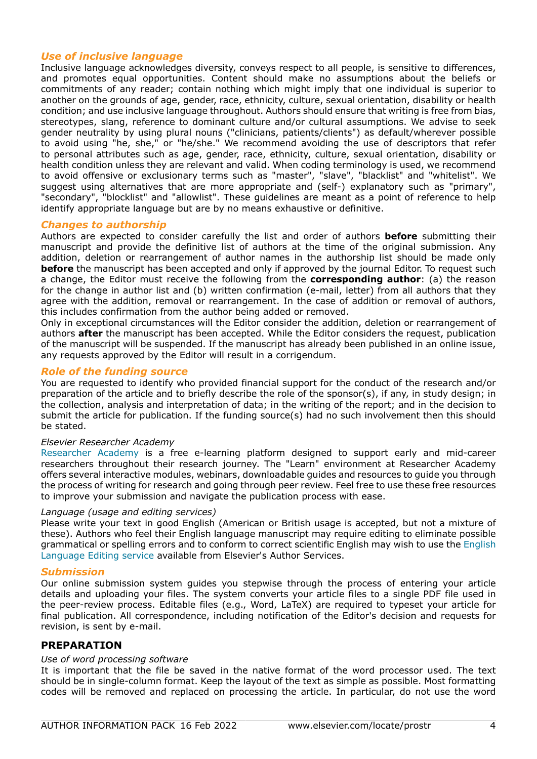# *Use of inclusive language*

Inclusive language acknowledges diversity, conveys respect to all people, is sensitive to differences, and promotes equal opportunities. Content should make no assumptions about the beliefs or commitments of any reader; contain nothing which might imply that one individual is superior to another on the grounds of age, gender, race, ethnicity, culture, sexual orientation, disability or health condition; and use inclusive language throughout. Authors should ensure that writing is free from bias, stereotypes, slang, reference to dominant culture and/or cultural assumptions. We advise to seek gender neutrality by using plural nouns ("clinicians, patients/clients") as default/wherever possible to avoid using "he, she," or "he/she." We recommend avoiding the use of descriptors that refer to personal attributes such as age, gender, race, ethnicity, culture, sexual orientation, disability or health condition unless they are relevant and valid. When coding terminology is used, we recommend to avoid offensive or exclusionary terms such as "master", "slave", "blacklist" and "whitelist". We suggest using alternatives that are more appropriate and (self-) explanatory such as "primary", "secondary", "blocklist" and "allowlist". These guidelines are meant as a point of reference to help identify appropriate language but are by no means exhaustive or definitive.

#### *Changes to authorship*

Authors are expected to consider carefully the list and order of authors **before** submitting their manuscript and provide the definitive list of authors at the time of the original submission. Any addition, deletion or rearrangement of author names in the authorship list should be made only **before** the manuscript has been accepted and only if approved by the journal Editor. To request such a change, the Editor must receive the following from the **corresponding author**: (a) the reason for the change in author list and (b) written confirmation (e-mail, letter) from all authors that they agree with the addition, removal or rearrangement. In the case of addition or removal of authors, this includes confirmation from the author being added or removed.

Only in exceptional circumstances will the Editor consider the addition, deletion or rearrangement of authors **after** the manuscript has been accepted. While the Editor considers the request, publication of the manuscript will be suspended. If the manuscript has already been published in an online issue, any requests approved by the Editor will result in a corrigendum.

### *Role of the funding source*

You are requested to identify who provided financial support for the conduct of the research and/or preparation of the article and to briefly describe the role of the sponsor(s), if any, in study design; in the collection, analysis and interpretation of data; in the writing of the report; and in the decision to submit the article for publication. If the funding source(s) had no such involvement then this should be stated.

#### *Elsevier Researcher Academy*

[Researcher Academy](https://researcheracademy.elsevier.com/) is a free e-learning platform designed to support early and mid-career researchers throughout their research journey. The "Learn" environment at Researcher Academy offers several interactive modules, webinars, downloadable guides and resources to guide you through the process of writing for research and going through peer review. Feel free to use these free resources to improve your submission and navigate the publication process with ease.

#### *Language (usage and editing services)*

Please write your text in good English (American or British usage is accepted, but not a mixture of these). Authors who feel their English language manuscript may require editing to eliminate possible grammatical or spelling errors and to conform to correct scientific English may wish to use the [English](https://webshop.elsevier.com/language-editing-services/language-editing/) [Language Editing service](https://webshop.elsevier.com/language-editing-services/language-editing/) available from Elsevier's Author Services.

#### *Submission*

Our online submission system guides you stepwise through the process of entering your article details and uploading your files. The system converts your article files to a single PDF file used in the peer-review process. Editable files (e.g., Word, LaTeX) are required to typeset your article for final publication. All correspondence, including notification of the Editor's decision and requests for revision, is sent by e-mail.

#### **PREPARATION**

#### *Use of word processing software*

It is important that the file be saved in the native format of the word processor used. The text should be in single-column format. Keep the layout of the text as simple as possible. Most formatting codes will be removed and replaced on processing the article. In particular, do not use the word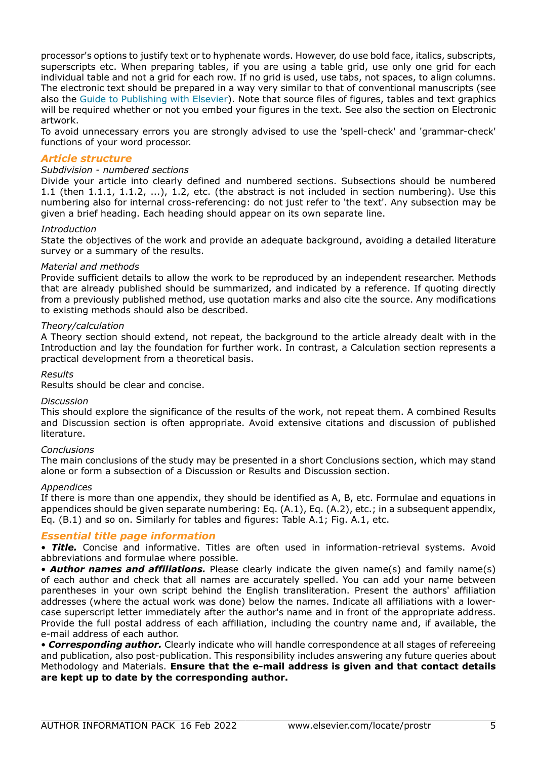processor's options to justify text or to hyphenate words. However, do use bold face, italics, subscripts, superscripts etc. When preparing tables, if you are using a table grid, use only one grid for each individual table and not a grid for each row. If no grid is used, use tabs, not spaces, to align columns. The electronic text should be prepared in a way very similar to that of conventional manuscripts (see also the [Guide to Publishing with Elsevier\)](https://www.elsevier.com/authors/journal-authors/submit-your-paper). Note that source files of figures, tables and text graphics will be required whether or not you embed your figures in the text. See also the section on Electronic artwork.

To avoid unnecessary errors you are strongly advised to use the 'spell-check' and 'grammar-check' functions of your word processor.

#### *Article structure*

#### *Subdivision - numbered sections*

Divide your article into clearly defined and numbered sections. Subsections should be numbered 1.1 (then 1.1.1, 1.1.2, ...), 1.2, etc. (the abstract is not included in section numbering). Use this numbering also for internal cross-referencing: do not just refer to 'the text'. Any subsection may be given a brief heading. Each heading should appear on its own separate line.

#### *Introduction*

State the objectives of the work and provide an adequate background, avoiding a detailed literature survey or a summary of the results.

#### *Material and methods*

Provide sufficient details to allow the work to be reproduced by an independent researcher. Methods that are already published should be summarized, and indicated by a reference. If quoting directly from a previously published method, use quotation marks and also cite the source. Any modifications to existing methods should also be described.

#### *Theory/calculation*

A Theory section should extend, not repeat, the background to the article already dealt with in the Introduction and lay the foundation for further work. In contrast, a Calculation section represents a practical development from a theoretical basis.

#### *Results*

Results should be clear and concise.

#### *Discussion*

This should explore the significance of the results of the work, not repeat them. A combined Results and Discussion section is often appropriate. Avoid extensive citations and discussion of published literature.

#### *Conclusions*

The main conclusions of the study may be presented in a short Conclusions section, which may stand alone or form a subsection of a Discussion or Results and Discussion section.

#### *Appendices*

If there is more than one appendix, they should be identified as A, B, etc. Formulae and equations in appendices should be given separate numbering: Eq. (A.1), Eq. (A.2), etc.; in a subsequent appendix, Eq. (B.1) and so on. Similarly for tables and figures: Table A.1; Fig. A.1, etc.

# *Essential title page information*

• *Title.* Concise and informative. Titles are often used in information-retrieval systems. Avoid abbreviations and formulae where possible.

• *Author names and affiliations.* Please clearly indicate the given name(s) and family name(s) of each author and check that all names are accurately spelled. You can add your name between parentheses in your own script behind the English transliteration. Present the authors' affiliation addresses (where the actual work was done) below the names. Indicate all affiliations with a lowercase superscript letter immediately after the author's name and in front of the appropriate address. Provide the full postal address of each affiliation, including the country name and, if available, the e-mail address of each author.

• *Corresponding author.* Clearly indicate who will handle correspondence at all stages of refereeing and publication, also post-publication. This responsibility includes answering any future queries about Methodology and Materials. **Ensure that the e-mail address is given and that contact details are kept up to date by the corresponding author.**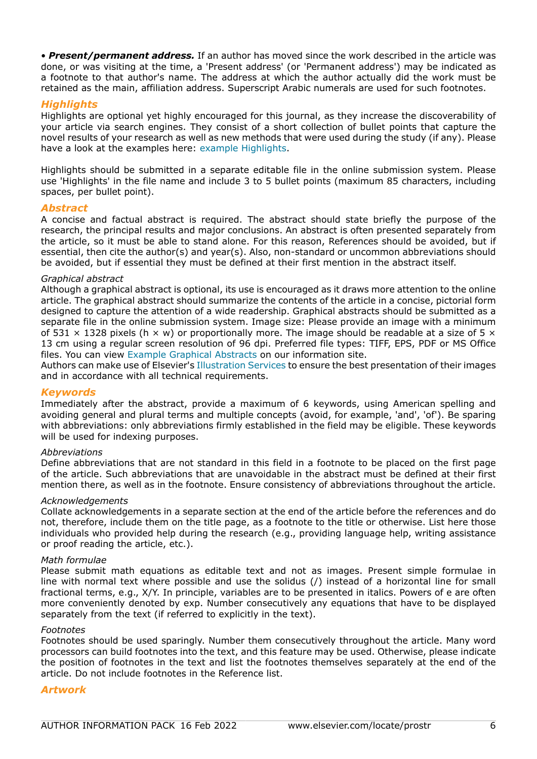• *Present/permanent address.* If an author has moved since the work described in the article was done, or was visiting at the time, a 'Present address' (or 'Permanent address') may be indicated as a footnote to that author's name. The address at which the author actually did the work must be retained as the main, affiliation address. Superscript Arabic numerals are used for such footnotes.

### *Highlights*

Highlights are optional yet highly encouraged for this journal, as they increase the discoverability of your article via search engines. They consist of a short collection of bullet points that capture the novel results of your research as well as new methods that were used during the study (if any). Please have a look at the examples here: [example Highlights.](https://www.elsevier.com/authors/journal-authors/highlights)

Highlights should be submitted in a separate editable file in the online submission system. Please use 'Highlights' in the file name and include 3 to 5 bullet points (maximum 85 characters, including spaces, per bullet point).

#### *Abstract*

A concise and factual abstract is required. The abstract should state briefly the purpose of the research, the principal results and major conclusions. An abstract is often presented separately from the article, so it must be able to stand alone. For this reason, References should be avoided, but if essential, then cite the author(s) and year(s). Also, non-standard or uncommon abbreviations should be avoided, but if essential they must be defined at their first mention in the abstract itself.

#### *Graphical abstract*

Although a graphical abstract is optional, its use is encouraged as it draws more attention to the online article. The graphical abstract should summarize the contents of the article in a concise, pictorial form designed to capture the attention of a wide readership. Graphical abstracts should be submitted as a separate file in the online submission system. Image size: Please provide an image with a minimum of 531  $\times$  1328 pixels (h  $\times$  w) or proportionally more. The image should be readable at a size of 5  $\times$ 13 cm using a regular screen resolution of 96 dpi. Preferred file types: TIFF, EPS, PDF or MS Office files. You can view [Example Graphical Abstracts](https://www.elsevier.com/authors/journal-authors/graphical-abstract) on our information site.

Authors can make use of Elsevier's [Illustration Services](https://webshop.elsevier.com/illustration-services/) to ensure the best presentation of their images and in accordance with all technical requirements.

#### *Keywords*

Immediately after the abstract, provide a maximum of 6 keywords, using American spelling and avoiding general and plural terms and multiple concepts (avoid, for example, 'and', 'of'). Be sparing with abbreviations: only abbreviations firmly established in the field may be eligible. These keywords will be used for indexing purposes.

#### *Abbreviations*

Define abbreviations that are not standard in this field in a footnote to be placed on the first page of the article. Such abbreviations that are unavoidable in the abstract must be defined at their first mention there, as well as in the footnote. Ensure consistency of abbreviations throughout the article.

#### *Acknowledgements*

Collate acknowledgements in a separate section at the end of the article before the references and do not, therefore, include them on the title page, as a footnote to the title or otherwise. List here those individuals who provided help during the research (e.g., providing language help, writing assistance or proof reading the article, etc.).

#### *Math formulae*

Please submit math equations as editable text and not as images. Present simple formulae in line with normal text where possible and use the solidus (/) instead of a horizontal line for small fractional terms, e.g., X/Y. In principle, variables are to be presented in italics. Powers of e are often more conveniently denoted by exp. Number consecutively any equations that have to be displayed separately from the text (if referred to explicitly in the text).

#### *Footnotes*

Footnotes should be used sparingly. Number them consecutively throughout the article. Many word processors can build footnotes into the text, and this feature may be used. Otherwise, please indicate the position of footnotes in the text and list the footnotes themselves separately at the end of the article. Do not include footnotes in the Reference list.

#### *Artwork*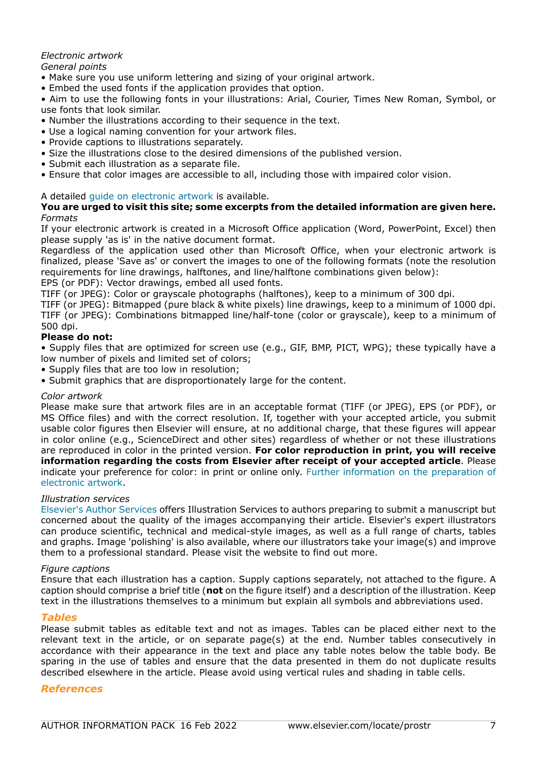# *Electronic artwork*

### *General points*

- Make sure you use uniform lettering and sizing of your original artwork.
- Embed the used fonts if the application provides that option.

• Aim to use the following fonts in your illustrations: Arial, Courier, Times New Roman, Symbol, or use fonts that look similar.

- Number the illustrations according to their sequence in the text.
- Use a logical naming convention for your artwork files.
- Provide captions to illustrations separately.
- Size the illustrations close to the desired dimensions of the published version.
- Submit each illustration as a separate file.
- Ensure that color images are accessible to all, including those with impaired color vision.

### A detailed [guide on electronic artwork](https://www.elsevier.com/authors/author-schemas/artwork-and-media-instructions) is available.

#### **You are urged to visit this site; some excerpts from the detailed information are given here.** *Formats*

If your electronic artwork is created in a Microsoft Office application (Word, PowerPoint, Excel) then please supply 'as is' in the native document format.

Regardless of the application used other than Microsoft Office, when your electronic artwork is finalized, please 'Save as' or convert the images to one of the following formats (note the resolution requirements for line drawings, halftones, and line/halftone combinations given below):

EPS (or PDF): Vector drawings, embed all used fonts.

TIFF (or JPEG): Color or grayscale photographs (halftones), keep to a minimum of 300 dpi.

TIFF (or JPEG): Bitmapped (pure black & white pixels) line drawings, keep to a minimum of 1000 dpi. TIFF (or JPEG): Combinations bitmapped line/half-tone (color or grayscale), keep to a minimum of 500 dpi.

### **Please do not:**

• Supply files that are optimized for screen use (e.g., GIF, BMP, PICT, WPG); these typically have a low number of pixels and limited set of colors;

- Supply files that are too low in resolution;
- Submit graphics that are disproportionately large for the content.

#### *Color artwork*

Please make sure that artwork files are in an acceptable format (TIFF (or JPEG), EPS (or PDF), or MS Office files) and with the correct resolution. If, together with your accepted article, you submit usable color figures then Elsevier will ensure, at no additional charge, that these figures will appear in color online (e.g., ScienceDirect and other sites) regardless of whether or not these illustrations are reproduced in color in the printed version. **For color reproduction in print, you will receive information regarding the costs from Elsevier after receipt of your accepted article**. Please indicate your preference for color: in print or online only. [Further information on the preparation of](https://www.elsevier.com/authors/author-schemas/artwork-and-media-instructions) [electronic artwork.](https://www.elsevier.com/authors/author-schemas/artwork-and-media-instructions)

#### *Illustration services*

[Elsevier's Author Services](https://webshop.elsevier.com/illustration-services/) offers Illustration Services to authors preparing to submit a manuscript but concerned about the quality of the images accompanying their article. Elsevier's expert illustrators can produce scientific, technical and medical-style images, as well as a full range of charts, tables and graphs. Image 'polishing' is also available, where our illustrators take your image(s) and improve them to a professional standard. Please visit the website to find out more.

#### *Figure captions*

Ensure that each illustration has a caption. Supply captions separately, not attached to the figure. A caption should comprise a brief title (**not** on the figure itself) and a description of the illustration. Keep text in the illustrations themselves to a minimum but explain all symbols and abbreviations used.

#### *Tables*

Please submit tables as editable text and not as images. Tables can be placed either next to the relevant text in the article, or on separate page(s) at the end. Number tables consecutively in accordance with their appearance in the text and place any table notes below the table body. Be sparing in the use of tables and ensure that the data presented in them do not duplicate results described elsewhere in the article. Please avoid using vertical rules and shading in table cells.

# *References*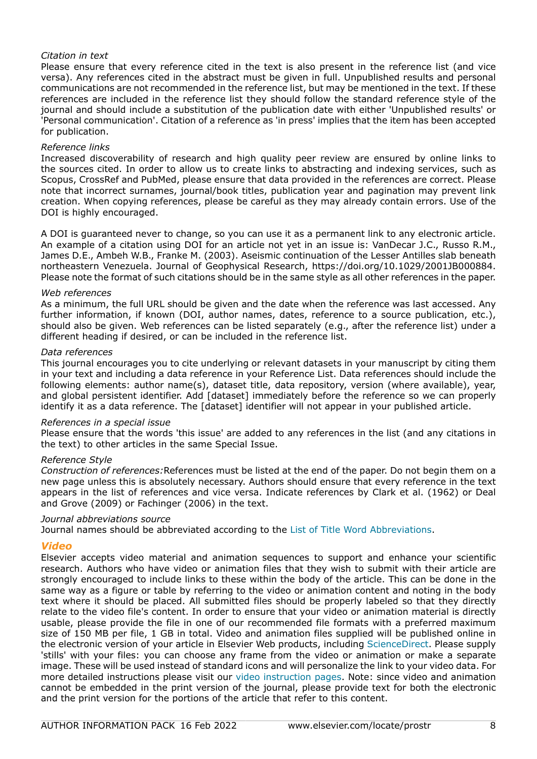### *Citation in text*

Please ensure that every reference cited in the text is also present in the reference list (and vice versa). Any references cited in the abstract must be given in full. Unpublished results and personal communications are not recommended in the reference list, but may be mentioned in the text. If these references are included in the reference list they should follow the standard reference style of the journal and should include a substitution of the publication date with either 'Unpublished results' or 'Personal communication'. Citation of a reference as 'in press' implies that the item has been accepted for publication.

#### *Reference links*

Increased discoverability of research and high quality peer review are ensured by online links to the sources cited. In order to allow us to create links to abstracting and indexing services, such as Scopus, CrossRef and PubMed, please ensure that data provided in the references are correct. Please note that incorrect surnames, journal/book titles, publication year and pagination may prevent link creation. When copying references, please be careful as they may already contain errors. Use of the DOI is highly encouraged.

A DOI is guaranteed never to change, so you can use it as a permanent link to any electronic article. An example of a citation using DOI for an article not yet in an issue is: VanDecar J.C., Russo R.M., James D.E., Ambeh W.B., Franke M. (2003). Aseismic continuation of the Lesser Antilles slab beneath northeastern Venezuela. Journal of Geophysical Research, https://doi.org/10.1029/2001JB000884. Please note the format of such citations should be in the same style as all other references in the paper.

#### *Web references*

As a minimum, the full URL should be given and the date when the reference was last accessed. Any further information, if known (DOI, author names, dates, reference to a source publication, etc.), should also be given. Web references can be listed separately (e.g., after the reference list) under a different heading if desired, or can be included in the reference list.

#### *Data references*

This journal encourages you to cite underlying or relevant datasets in your manuscript by citing them in your text and including a data reference in your Reference List. Data references should include the following elements: author name(s), dataset title, data repository, version (where available), year, and global persistent identifier. Add [dataset] immediately before the reference so we can properly identify it as a data reference. The [dataset] identifier will not appear in your published article.

#### *References in a special issue*

Please ensure that the words 'this issue' are added to any references in the list (and any citations in the text) to other articles in the same Special Issue.

#### *Reference Style*

*Construction of references:*References must be listed at the end of the paper. Do not begin them on a new page unless this is absolutely necessary. Authors should ensure that every reference in the text appears in the list of references and vice versa. Indicate references by Clark et al. (1962) or Deal and Grove (2009) or Fachinger (2006) in the text.

#### *Journal abbreviations source*

Journal names should be abbreviated according to the [List of Title Word Abbreviations.](https://www.issn.org/services/online-services/access-to-the-ltwa/)

#### *Video*

Elsevier accepts video material and animation sequences to support and enhance your scientific research. Authors who have video or animation files that they wish to submit with their article are strongly encouraged to include links to these within the body of the article. This can be done in the same way as a figure or table by referring to the video or animation content and noting in the body text where it should be placed. All submitted files should be properly labeled so that they directly relate to the video file's content. In order to ensure that your video or animation material is directly usable, please provide the file in one of our recommended file formats with a preferred maximum size of 150 MB per file, 1 GB in total. Video and animation files supplied will be published online in the electronic version of your article in Elsevier Web products, including [ScienceDirect](https://www.sciencedirect.com). Please supply 'stills' with your files: you can choose any frame from the video or animation or make a separate image. These will be used instead of standard icons and will personalize the link to your video data. For more detailed instructions please visit our [video instruction pages.](https://www.elsevier.com/authors/author-schemas/artwork-and-media-instructions) Note: since video and animation cannot be embedded in the print version of the journal, please provide text for both the electronic and the print version for the portions of the article that refer to this content.